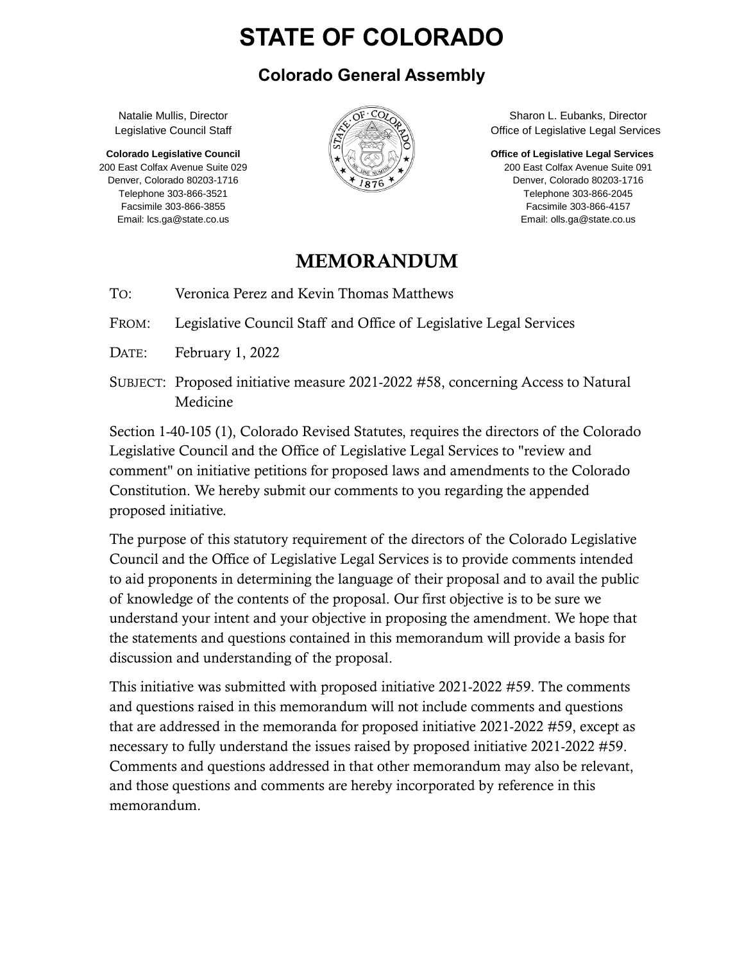# **STATE OF COLORADO**

#### **Colorado General Assembly**

Natalie Mullis, Director Legislative Council Staff

**Colorado Legislative Council** 200 East Colfax Avenue Suite 029 Denver, Colorado 80203-1716 Telephone 303-866-3521 Facsimile 303-866-3855 Email: lcs.ga@state.co.us



Sharon L. Eubanks, Director Office of Legislative Legal Services

**Office of Legislative Legal Services**

200 East Colfax Avenue Suite 091 Denver, Colorado 80203-1716 Telephone 303-866-2045 Facsimile 303-866-4157 Email: olls.ga@state.co.us

#### MEMORANDUM

TO: Veronica Perez and Kevin Thomas Matthews

FROM: Legislative Council Staff and Office of Legislative Legal Services

- DATE: February 1, 2022
- SUBJECT: Proposed initiative measure 2021-2022 #58, concerning Access to Natural Medicine

Section 1-40-105 (1), Colorado Revised Statutes, requires the directors of the Colorado Legislative Council and the Office of Legislative Legal Services to "review and comment" on initiative petitions for proposed laws and amendments to the Colorado Constitution. We hereby submit our comments to you regarding the appended proposed initiative.

The purpose of this statutory requirement of the directors of the Colorado Legislative Council and the Office of Legislative Legal Services is to provide comments intended to aid proponents in determining the language of their proposal and to avail the public of knowledge of the contents of the proposal. Our first objective is to be sure we understand your intent and your objective in proposing the amendment. We hope that the statements and questions contained in this memorandum will provide a basis for discussion and understanding of the proposal.

This initiative was submitted with proposed initiative 2021-2022 #59. The comments and questions raised in this memorandum will not include comments and questions that are addressed in the memoranda for proposed initiative 2021-2022 #59, except as necessary to fully understand the issues raised by proposed initiative 2021-2022 #59. Comments and questions addressed in that other memorandum may also be relevant, and those questions and comments are hereby incorporated by reference in this memorandum.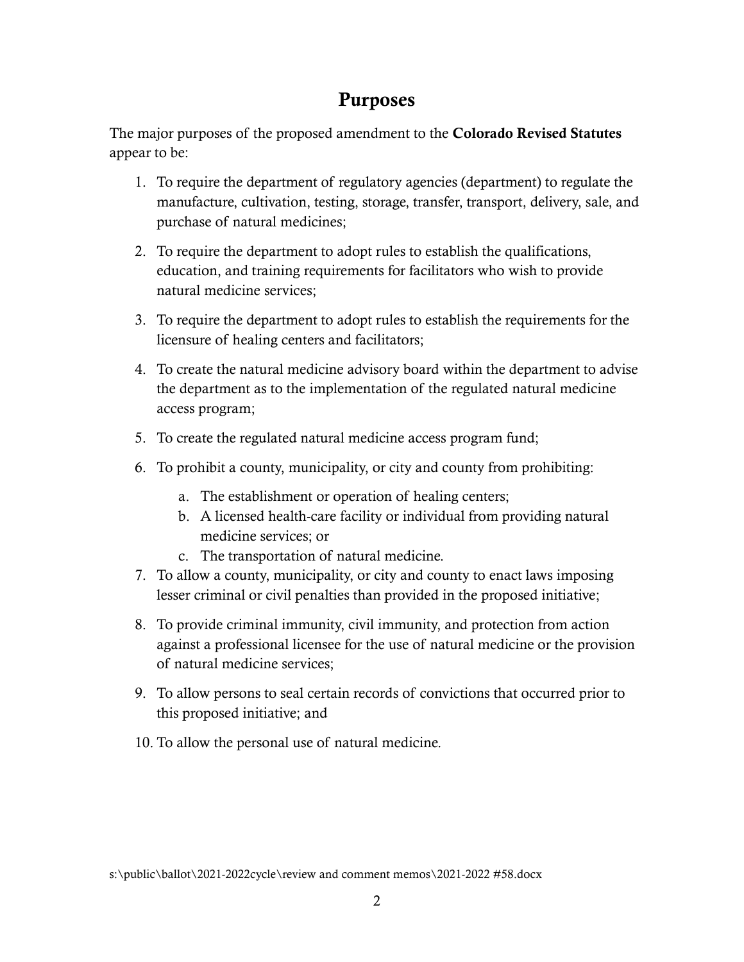## Purposes

The major purposes of the proposed amendment to the Colorado Revised Statutes appear to be:

- 1. To require the department of regulatory agencies (department) to regulate the manufacture, cultivation, testing, storage, transfer, transport, delivery, sale, and purchase of natural medicines;
- 2. To require the department to adopt rules to establish the qualifications, education, and training requirements for facilitators who wish to provide natural medicine services;
- 3. To require the department to adopt rules to establish the requirements for the licensure of healing centers and facilitators;
- 4. To create the natural medicine advisory board within the department to advise the department as to the implementation of the regulated natural medicine access program;
- 5. To create the regulated natural medicine access program fund;
- 6. To prohibit a county, municipality, or city and county from prohibiting:
	- a. The establishment or operation of healing centers;
	- b. A licensed health-care facility or individual from providing natural medicine services; or
	- c. The transportation of natural medicine.
- 7. To allow a county, municipality, or city and county to enact laws imposing lesser criminal or civil penalties than provided in the proposed initiative;
- 8. To provide criminal immunity, civil immunity, and protection from action against a professional licensee for the use of natural medicine or the provision of natural medicine services;
- 9. To allow persons to seal certain records of convictions that occurred prior to this proposed initiative; and
- 10. To allow the personal use of natural medicine.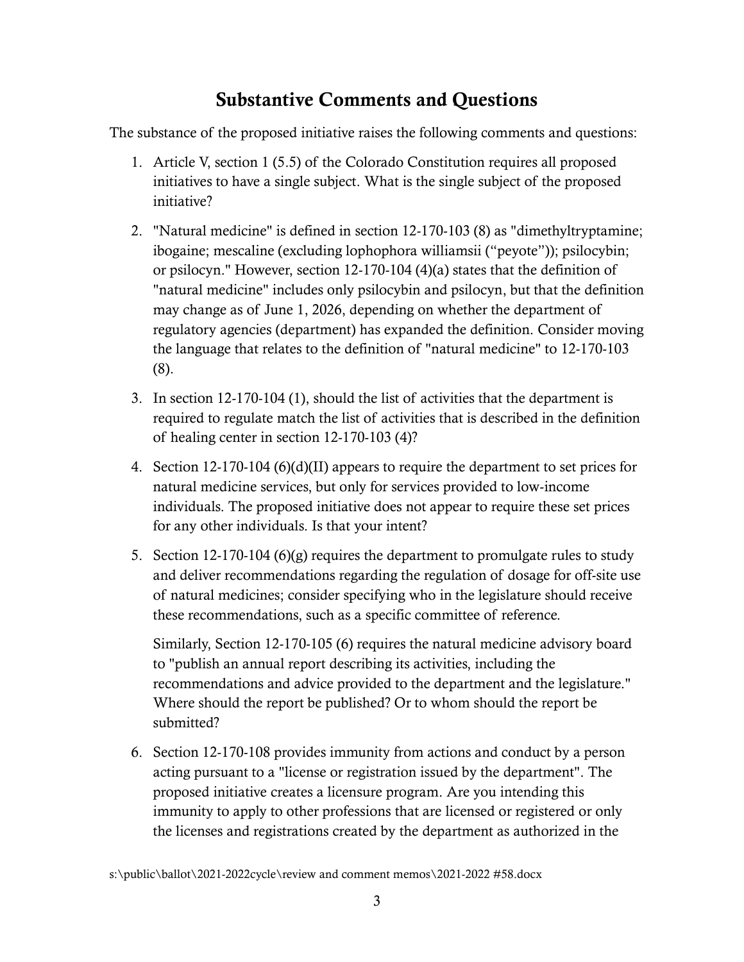## Substantive Comments and Questions

The substance of the proposed initiative raises the following comments and questions:

- 1. Article V, section 1 (5.5) of the Colorado Constitution requires all proposed initiatives to have a single subject. What is the single subject of the proposed initiative?
- 2. "Natural medicine" is defined in section 12-170-103 (8) as "dimethyltryptamine; ibogaine; mescaline (excluding lophophora williamsii ("peyote")); psilocybin; or psilocyn." However, section 12-170-104 (4)(a) states that the definition of "natural medicine" includes only psilocybin and psilocyn, but that the definition may change as of June 1, 2026, depending on whether the department of regulatory agencies (department) has expanded the definition. Consider moving the language that relates to the definition of "natural medicine" to 12-170-103 (8).
- 3. In section 12-170-104 (1), should the list of activities that the department is required to regulate match the list of activities that is described in the definition of healing center in section 12-170-103 (4)?
- 4. Section 12-170-104 (6)(d)(II) appears to require the department to set prices for natural medicine services, but only for services provided to low-income individuals. The proposed initiative does not appear to require these set prices for any other individuals. Is that your intent?
- 5. Section 12-170-104 (6)(g) requires the department to promulgate rules to study and deliver recommendations regarding the regulation of dosage for off-site use of natural medicines; consider specifying who in the legislature should receive these recommendations, such as a specific committee of reference.

Similarly, Section 12-170-105 (6) requires the natural medicine advisory board to "publish an annual report describing its activities, including the recommendations and advice provided to the department and the legislature." Where should the report be published? Or to whom should the report be submitted?

6. Section 12-170-108 provides immunity from actions and conduct by a person acting pursuant to a "license or registration issued by the department". The proposed initiative creates a licensure program. Are you intending this immunity to apply to other professions that are licensed or registered or only the licenses and registrations created by the department as authorized in the

s:\public\ballot\2021-2022cycle\review and comment memos\2021-2022 #58.docx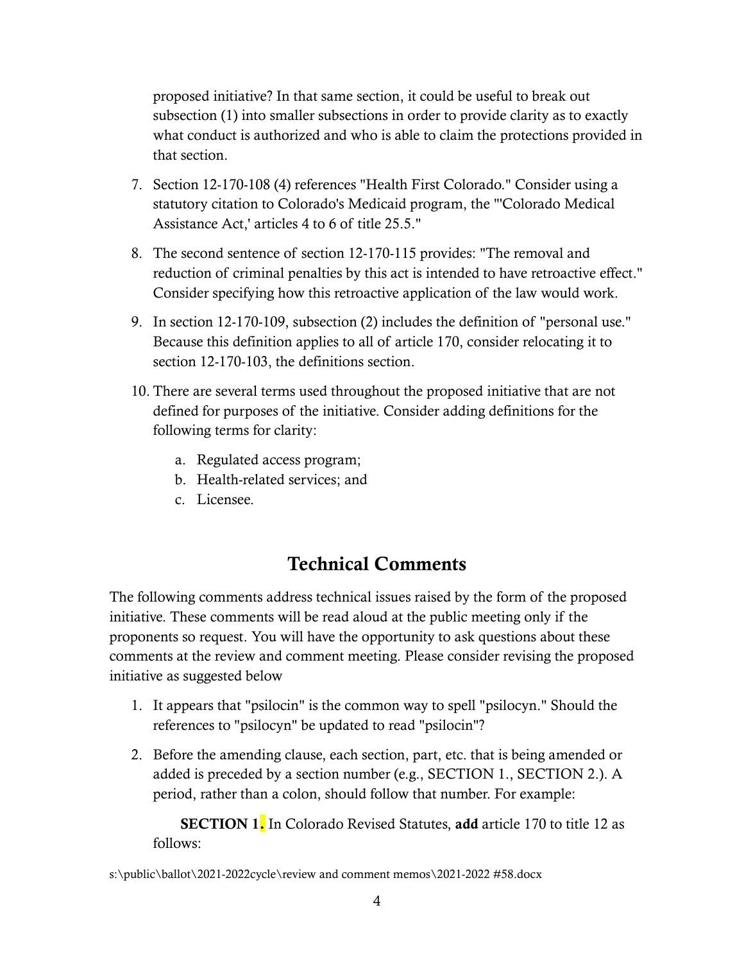proposed initiative? In that same section, it could be useful to break out subsection (1) into smaller subsections in order to provide clarity as to exactly what conduct is authorized and who is able to claim the protections provided in that section.

- 7. Section 12-170-108 (4) references "Health First Colorado." Consider using a statutory citation to Colorado's Medicaid program, the "'Colorado Medical Assistance Act,' articles 4 to 6 of title 25.5."
- 8. The second sentence of section 12-170-115 provides: "The removal and reduction of criminal penalties by this act is intended to have retroactive effect." Consider specifying how this retroactive application of the law would work.
- 9. In section 12-170-109, subsection (2) includes the definition of "personal use." Because this definition applies to all of article 170, consider relocating it to section 12-170-103, the definitions section.
- 10. There are several terms used throughout the proposed initiative that are not defined for purposes of the initiative. Consider adding definitions for the following terms for clarity:
	- a. Regulated access program;
	- b. Health-related services; and
	- c. Licensee.

## Technical Comments

The following comments address technical issues raised by the form of the proposed initiative. These comments will be read aloud at the public meeting only if the proponents so request. You will have the opportunity to ask questions about these comments at the review and comment meeting. Please consider revising the proposed initiative as suggested below

- 1. It appears that "psilocin" is the common way to spell "psilocyn." Should the references to "psilocyn" be updated to read "psilocin"?
- 2. Before the amending clause, each section, part, etc. that is being amended or added is preceded by a section number (e.g., SECTION 1., SECTION 2.). A period, rather than a colon, should follow that number. For example:

**SECTION 1.** In Colorado Revised Statutes, add article 170 to title 12 as follows:

s:\public\ballot\2021-2022cycle\review and comment memos\2021-2022 #58.docx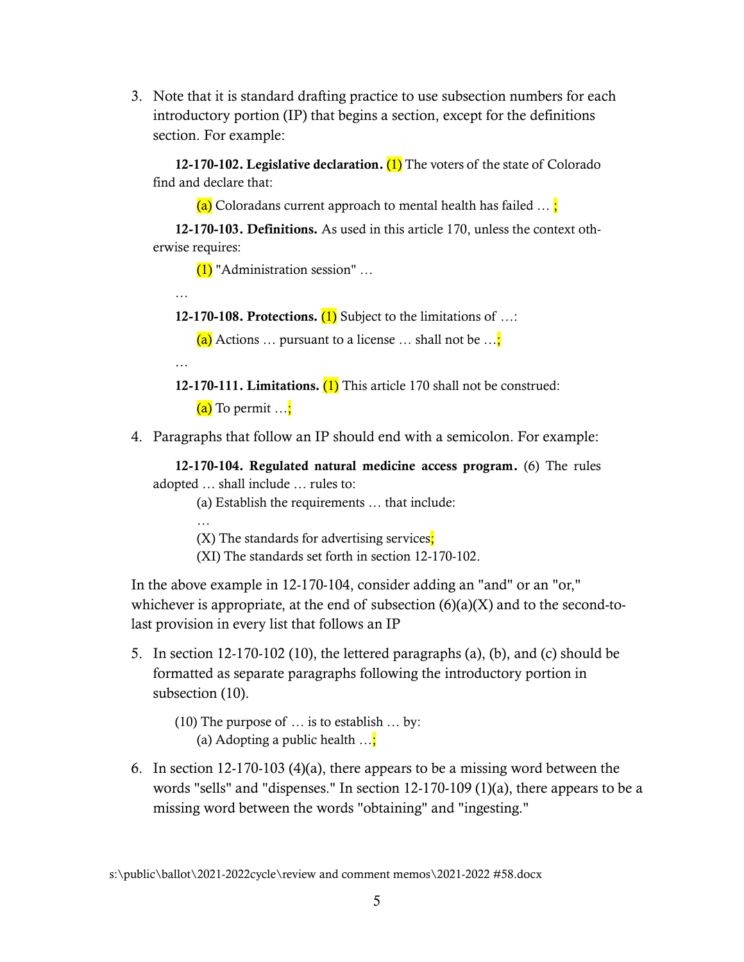3. Note that it is standard drafting practice to use subsection numbers for each introductory portion (IP) that begins a section, except for the definitions section. For example:

12-170-102. Legislative declaration.  $(1)$  The voters of the state of Colorado find and declare that:

(a) Coloradans current approach to mental health has failed  $\ldots$ ;

12-170-103. Definitions. As used in this article 170, unless the context otherwise requires:

(1) "Administration session" …

…

…

…

12-170-108. Protections.  $(1)$  Subject to the limitations of ...:

(a) Actions ... pursuant to a license ... shall not be  $\ldots$ ;

12-170-111. Limitations.  $(1)$  This article 170 shall not be construed:  $(a)$  To permit  $\dots$ ;

4. Paragraphs that follow an IP should end with a semicolon. For example:

12-170-104. Regulated natural medicine access program. (6) The rules adopted … shall include … rules to:

(a) Establish the requirements … that include:

(X) The standards for advertising services;

(XI) The standards set forth in section 12-170-102.

In the above example in 12-170-104, consider adding an "and" or an "or," whichever is appropriate, at the end of subsection  $(6)(a)(X)$  and to the second-tolast provision in every list that follows an IP

5. In section 12-170-102 (10), the lettered paragraphs (a), (b), and (c) should be formatted as separate paragraphs following the introductory portion in subsection (10).

(10) The purpose of … is to establish … by: (a) Adopting a public health  $\ldots$ ;

6. In section 12-170-103 (4)(a), there appears to be a missing word between the words "sells" and "dispenses." In section 12-170-109 (1)(a), there appears to be a missing word between the words "obtaining" and "ingesting."

s:\public\ballot\2021-2022cycle\review and comment memos\2021-2022 #58.docx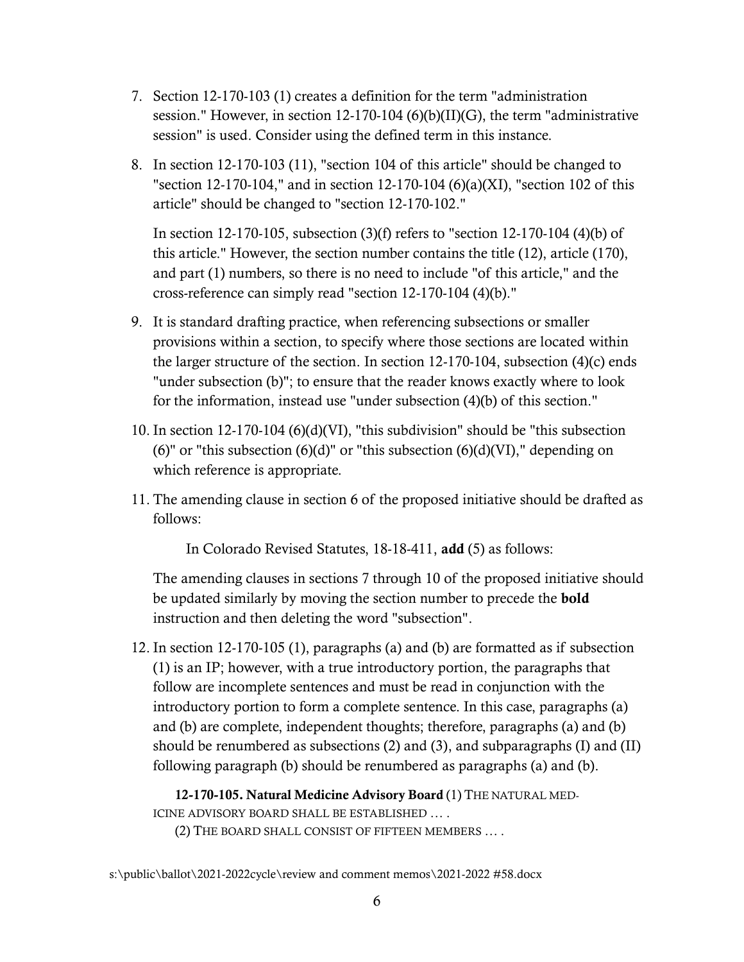- 7. Section 12-170-103 (1) creates a definition for the term "administration session." However, in section 12-170-104 (6)(b)(II)(G), the term "administrative session" is used. Consider using the defined term in this instance.
- 8. In section 12-170-103 (11), "section 104 of this article" should be changed to "section 12-170-104," and in section 12-170-104 (6)(a)(XI), "section 102 of this article" should be changed to "section 12-170-102."

In section 12-170-105, subsection (3)(f) refers to "section 12-170-104 (4)(b) of this article." However, the section number contains the title (12), article (170), and part (1) numbers, so there is no need to include "of this article," and the cross-reference can simply read "section 12-170-104 (4)(b)."

- 9. It is standard drafting practice, when referencing subsections or smaller provisions within a section, to specify where those sections are located within the larger structure of the section. In section 12-170-104, subsection (4)(c) ends "under subsection (b)"; to ensure that the reader knows exactly where to look for the information, instead use "under subsection (4)(b) of this section."
- 10. In section 12-170-104 (6)(d)(VI), "this subdivision" should be "this subsection (6)" or "this subsection  $(6)(d)$ " or "this subsection  $(6)(d)$ (VI)," depending on which reference is appropriate.
- 11. The amending clause in section 6 of the proposed initiative should be drafted as follows:

In Colorado Revised Statutes, 18-18-411, add (5) as follows:

The amending clauses in sections 7 through 10 of the proposed initiative should be updated similarly by moving the section number to precede the bold instruction and then deleting the word "subsection".

12. In section 12-170-105 (1), paragraphs (a) and (b) are formatted as if subsection (1) is an IP; however, with a true introductory portion, the paragraphs that follow are incomplete sentences and must be read in conjunction with the introductory portion to form a complete sentence. In this case, paragraphs (a) and (b) are complete, independent thoughts; therefore, paragraphs (a) and (b) should be renumbered as subsections (2) and (3), and subparagraphs (I) and (II) following paragraph (b) should be renumbered as paragraphs (a) and (b).

12-170-105. Natural Medicine Advisory Board (1) THE NATURAL MED-ICINE ADVISORY BOARD SHALL BE ESTABLISHED … .

(2) THE BOARD SHALL CONSIST OF FIFTEEN MEMBERS … .

s:\public\ballot\2021-2022cycle\review and comment memos\2021-2022 #58.docx